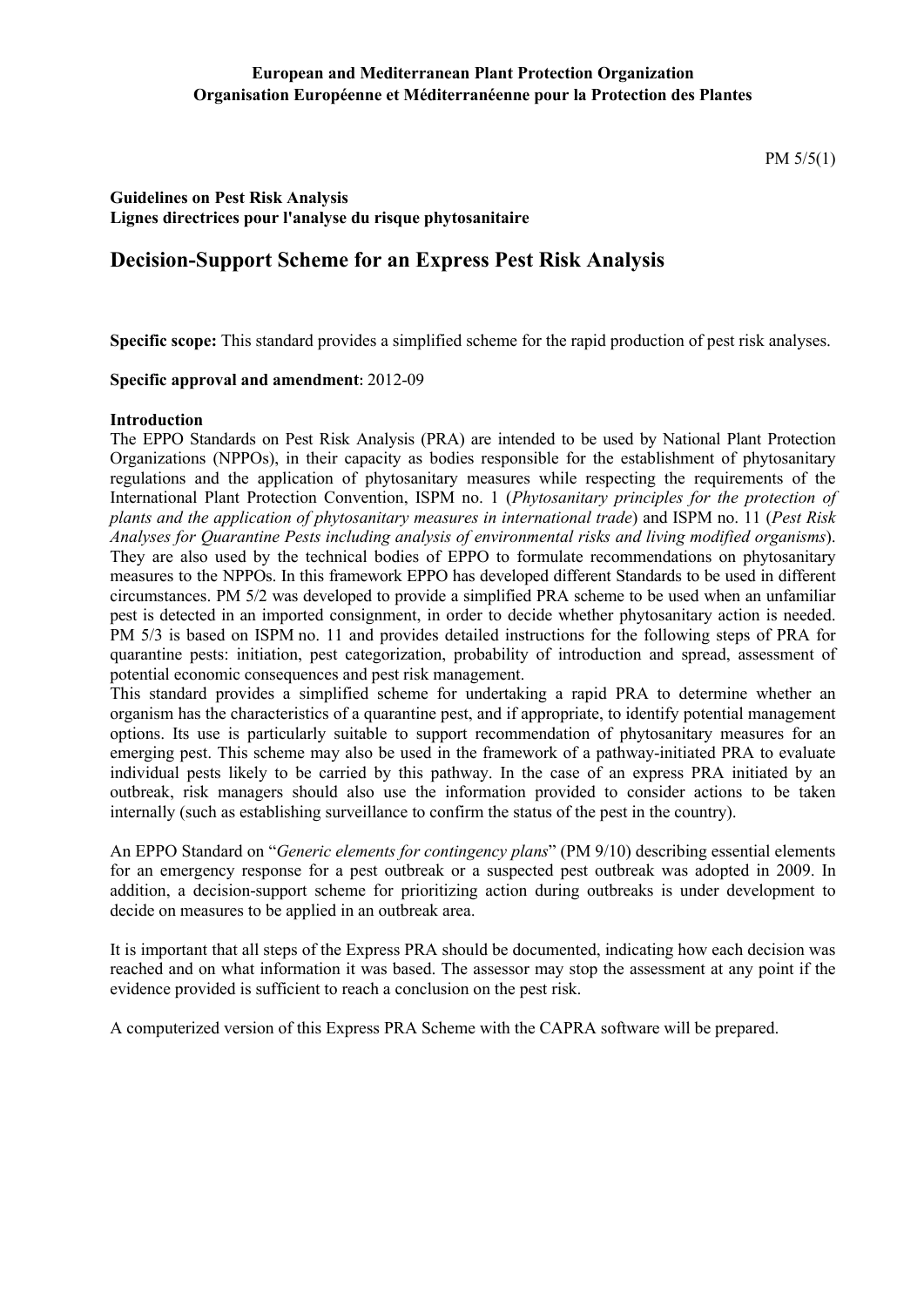### **European and Mediterranean Plant Protection Organization Organisation Européenne et Méditerranéenne pour la Protection des Plantes**

PM 5/5(1)

### **Guidelines on Pest Risk Analysis Lignes directrices pour l'analyse du risque phytosanitaire**

## **Decision-Support Scheme for an Express Pest Risk Analysis**

**Specific scope:** This standard provides a simplified scheme for the rapid production of pest risk analyses.

#### **Specific approval and amendment:** 2012-09

#### **Introduction**

The EPPO Standards on Pest Risk Analysis (PRA) are intended to be used by National Plant Protection Organizations (NPPOs), in their capacity as bodies responsible for the establishment of phytosanitary regulations and the application of phytosanitary measures while respecting the requirements of the International Plant Protection Convention, ISPM no. 1 (*Phytosanitary principles for the protection of plants and the application of phytosanitary measures in international trade*) and ISPM no. 11 (*Pest Risk Analyses for Quarantine Pests including analysis of environmental risks and living modified organisms*). They are also used by the technical bodies of EPPO to formulate recommendations on phytosanitary measures to the NPPOs. In this framework EPPO has developed different Standards to be used in different circumstances. PM 5/2 was developed to provide a simplified PRA scheme to be used when an unfamiliar pest is detected in an imported consignment, in order to decide whether phytosanitary action is needed. PM 5/3 is based on ISPM no. 11 and provides detailed instructions for the following steps of PRA for quarantine pests: initiation, pest categorization, probability of introduction and spread, assessment of potential economic consequences and pest risk management.

This standard provides a simplified scheme for undertaking a rapid PRA to determine whether an organism has the characteristics of a quarantine pest, and if appropriate, to identify potential management options. Its use is particularly suitable to support recommendation of phytosanitary measures for an emerging pest. This scheme may also be used in the framework of a pathway-initiated PRA to evaluate individual pests likely to be carried by this pathway. In the case of an express PRA initiated by an outbreak, risk managers should also use the information provided to consider actions to be taken internally (such as establishing surveillance to confirm the status of the pest in the country).

An EPPO Standard on "*Generic elements for contingency plans*" (PM 9/10) describing essential elements for an emergency response for a pest outbreak or a suspected pest outbreak was adopted in 2009. In addition, a decision-support scheme for prioritizing action during outbreaks is under development to decide on measures to be applied in an outbreak area.

It is important that all steps of the Express PRA should be documented, indicating how each decision was reached and on what information it was based. The assessor may stop the assessment at any point if the evidence provided is sufficient to reach a conclusion on the pest risk.

A computerized version of this Express PRA Scheme with the CAPRA software will be prepared.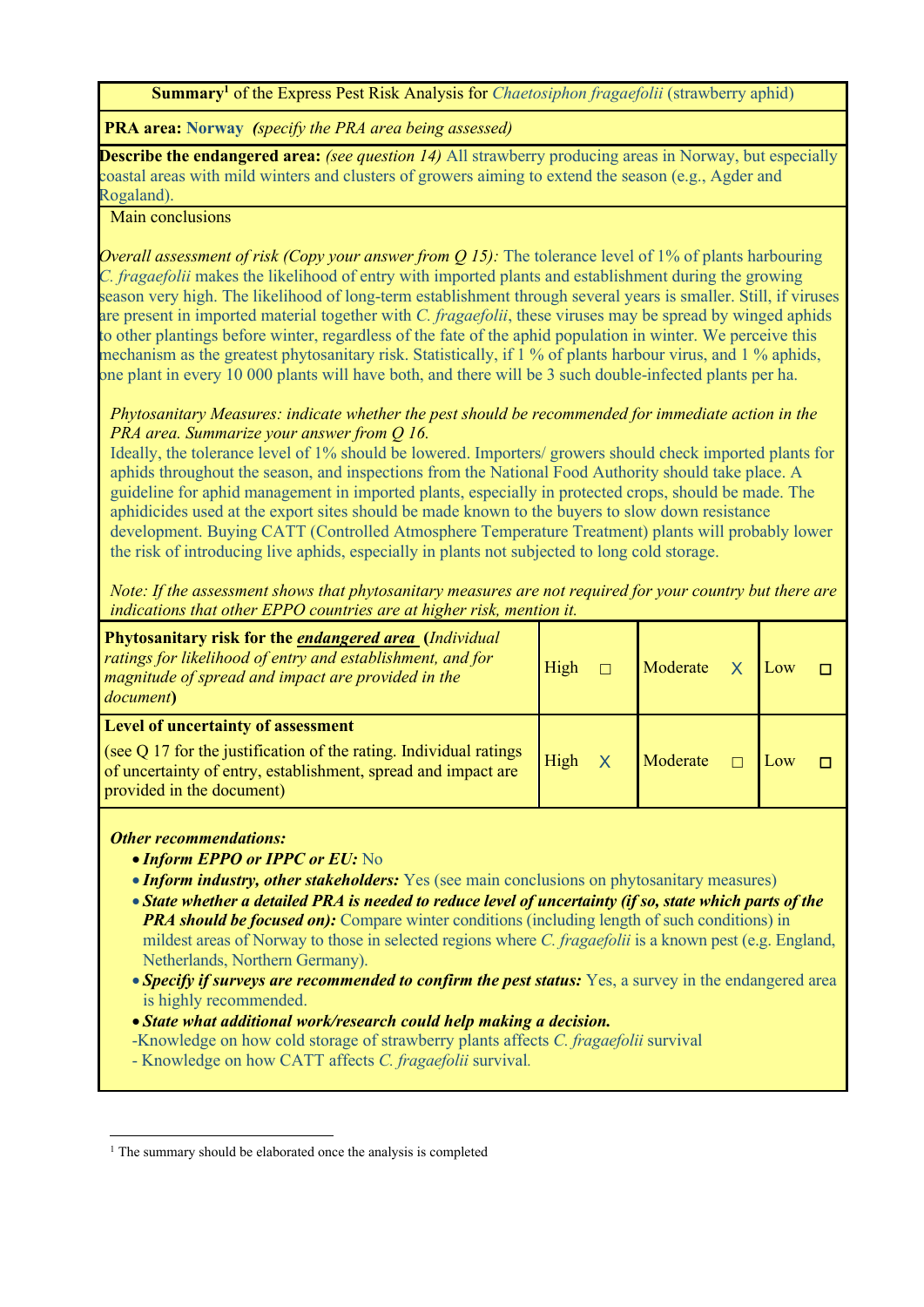**Summary<sup>1</sup>** of the Express Pest Risk Analysis for *Chaetosiphon fragaefolii* (strawberry aphid)

**PRA area: Norway** *(specify the PRA area being assessed)*

**Describe the endangered area:** *(see question 14)* All strawberry producing areas in Norway, but especially coastal areas with mild winters and clusters of growers aiming to extend the season (e.g., Agder and Rogaland).

Main conclusions

*Overall assessment of risk (Copy your answer from Q 15):* The tolerance level of 1% of plants harbouring *C. fragaefolii* makes the likelihood of entry with imported plants and establishment during the growing season very high. The likelihood of long-term establishment through several years is smaller. Still, if viruses are present in imported material together with *C. fragaefolii*, these viruses may be spread by winged aphids to other plantings before winter, regardless of the fate of the aphid population in winter. We perceive this mechanism as the greatest phytosanitary risk. Statistically, if 1 % of plants harbour virus, and 1 % aphids, one plant in every 10 000 plants will have both, and there will be 3 such double-infected plants per ha.

*Phytosanitary Measures: indicate whether the pest should be recommended for immediate action in the PRA area. Summarize your answer from Q 16.*

Ideally, the tolerance level of 1% should be lowered. Importers/ growers should check imported plants for aphids throughout the season, and inspections from the National Food Authority should take place. A guideline for aphid management in imported plants, especially in protected crops, should be made. The aphidicides used at the export sites should be made known to the buyers to slow down resistance development. Buying CATT (Controlled Atmosphere Temperature Treatment) plants will probably lower the risk of introducing live aphids, especially in plants not subjected to long cold storage.

*Note: If the assessment shows that phytosanitary measures are not required for your country but there are indications that other EPPO countries are at higher risk, mention it.*

| <b>Phytosanitary risk for the endangered area (Individual</b><br>ratings for likelihood of entry and establishment, and for<br>magnitude of spread and impact are provided in the<br>document)                 | High | Moderate X | Low |  |
|----------------------------------------------------------------------------------------------------------------------------------------------------------------------------------------------------------------|------|------------|-----|--|
| <b>Level of uncertainty of assessment</b><br>(see $Q$ 17 for the justification of the rating. Individual ratings<br>of uncertainty of entry, establishment, spread and impact are<br>provided in the document) | High | Moderate   |     |  |

### *Other recommendations:*

-

- *Inform EPPO or IPPC or EU:* No
- *Inform industry, other stakeholders:* Yes (see main conclusions on phytosanitary measures)
- *State whether a detailed PRA is needed to reduce level of uncertainty (if so, state which parts of the PRA should be focused on):* Compare winter conditions (including length of such conditions) in mildest areas of Norway to those in selected regions where *C. fragaefolii* is a known pest (e.g. England, Netherlands, Northern Germany).
- **Specify if surveys are recommended to confirm the pest status:** Yes, a survey in the endangered area is highly recommended.
- *State what additional work/research could help making a decision.*
- -Knowledge on how cold storage of strawberry plants affects *C. fragaefolii* survival

- Knowledge on how CATT affects *C. fragaefolii* survival*.*

<sup>&</sup>lt;sup>1</sup> The summary should be elaborated once the analysis is completed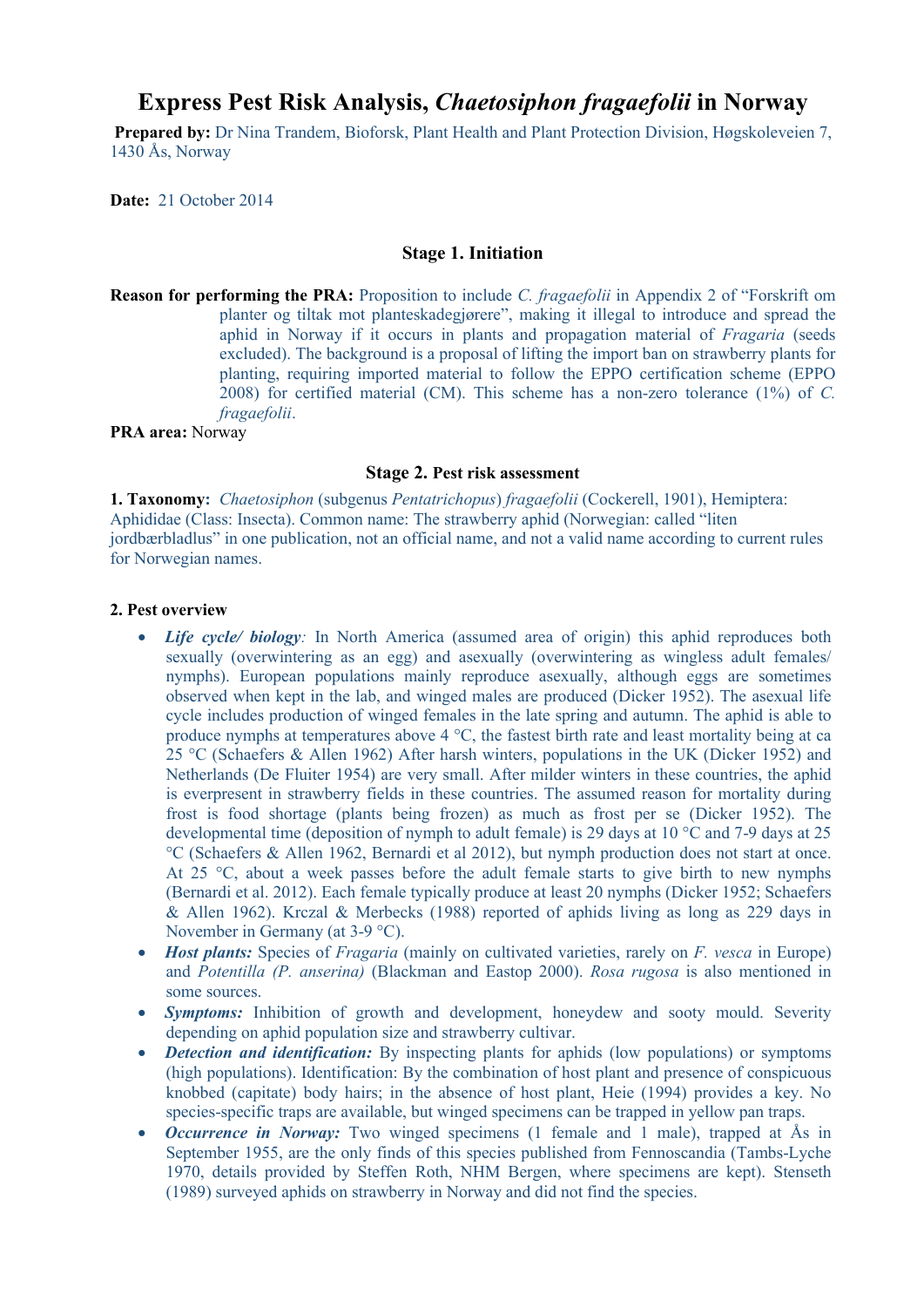# **Express Pest Risk Analysis,** *Chaetosiphon fragaefolii* **in Norway**

**Prepared by:** Dr Nina Trandem, Bioforsk, Plant Health and Plant Protection Division, Høgskoleveien 7, 1430 Ås, Norway

**Date:** 21 October 2014

#### **Stage 1. Initiation**

**Reason for performing the PRA:** Proposition to include *C. fragaefolii* in Appendix 2 of "Forskrift om planter og tiltak mot planteskadegjørere", making it illegal to introduce and spread the aphid in Norway if it occurs in plants and propagation material of *Fragaria* (seeds excluded). The background is a proposal of lifting the import ban on strawberry plants for planting, requiring imported material to follow the EPPO certification scheme (EPPO 2008) for certified material (CM). This scheme has a non-zero tolerance (1%) of *C. fragaefolii*.

**PRA area:** Norway

#### **Stage 2. Pest risk assessment**

**1. Taxonomy:** *Chaetosiphon* (subgenus *Pentatrichopus*) *fragaefolii* (Cockerell, 1901), Hemiptera: Aphididae (Class: Insecta). Common name: The strawberry aphid (Norwegian: called "liten jordbærbladlus" in one publication, not an official name, and not a valid name according to current rules for Norwegian names.

#### **2. Pest overview**

- *Life cycle/ biology*: In North America (assumed area of origin) this aphid reproduces both sexually (overwintering as an egg) and asexually (overwintering as wingless adult females/ nymphs). European populations mainly reproduce asexually, although eggs are sometimes observed when kept in the lab, and winged males are produced (Dicker 1952). The asexual life cycle includes production of winged females in the late spring and autumn. The aphid is able to produce nymphs at temperatures above  $4^{\circ}$ C, the fastest birth rate and least mortality being at ca 25 °C (Schaefers & Allen 1962) After harsh winters, populations in the UK (Dicker 1952) and Netherlands (De Fluiter 1954) are very small. After milder winters in these countries, the aphid is everpresent in strawberry fields in these countries. The assumed reason for mortality during frost is food shortage (plants being frozen) as much as frost per se (Dicker 1952). The developmental time (deposition of nymph to adult female) is 29 days at 10 °C and 7-9 days at 25 °C (Schaefers & Allen 1962, Bernardi et al 2012), but nymph production does not start at once. At 25  $\degree$ C, about a week passes before the adult female starts to give birth to new nymphs (Bernardi et al. 2012). Each female typically produce at least 20 nymphs (Dicker 1952; Schaefers & Allen 1962). Krczal & Merbecks (1988) reported of aphids living as long as 229 days in November in Germany (at 3-9 °C).
- *Host plants:* Species of *Fragaria* (mainly on cultivated varieties, rarely on *F. vesca* in Europe) and *Potentilla (P. anserina)* (Blackman and Eastop 2000). *Rosa rugosa* is also mentioned in some sources.
- *Symptoms:* Inhibition of growth and development, honeydew and sooty mould. Severity depending on aphid population size and strawberry cultivar.
- **Detection and identification:** By inspecting plants for aphids (low populations) or symptoms (high populations). Identification: By the combination of host plant and presence of conspicuous knobbed (capitate) body hairs; in the absence of host plant, Heie (1994) provides a key. No species-specific traps are available, but winged specimens can be trapped in yellow pan traps.
- *Occurrence in Norway:* Two winged specimens (1 female and 1 male), trapped at Ås in September 1955, are the only finds of this species published from Fennoscandia (Tambs-Lyche 1970, details provided by Steffen Roth, NHM Bergen, where specimens are kept). Stenseth (1989) surveyed aphids on strawberry in Norway and did not find the species.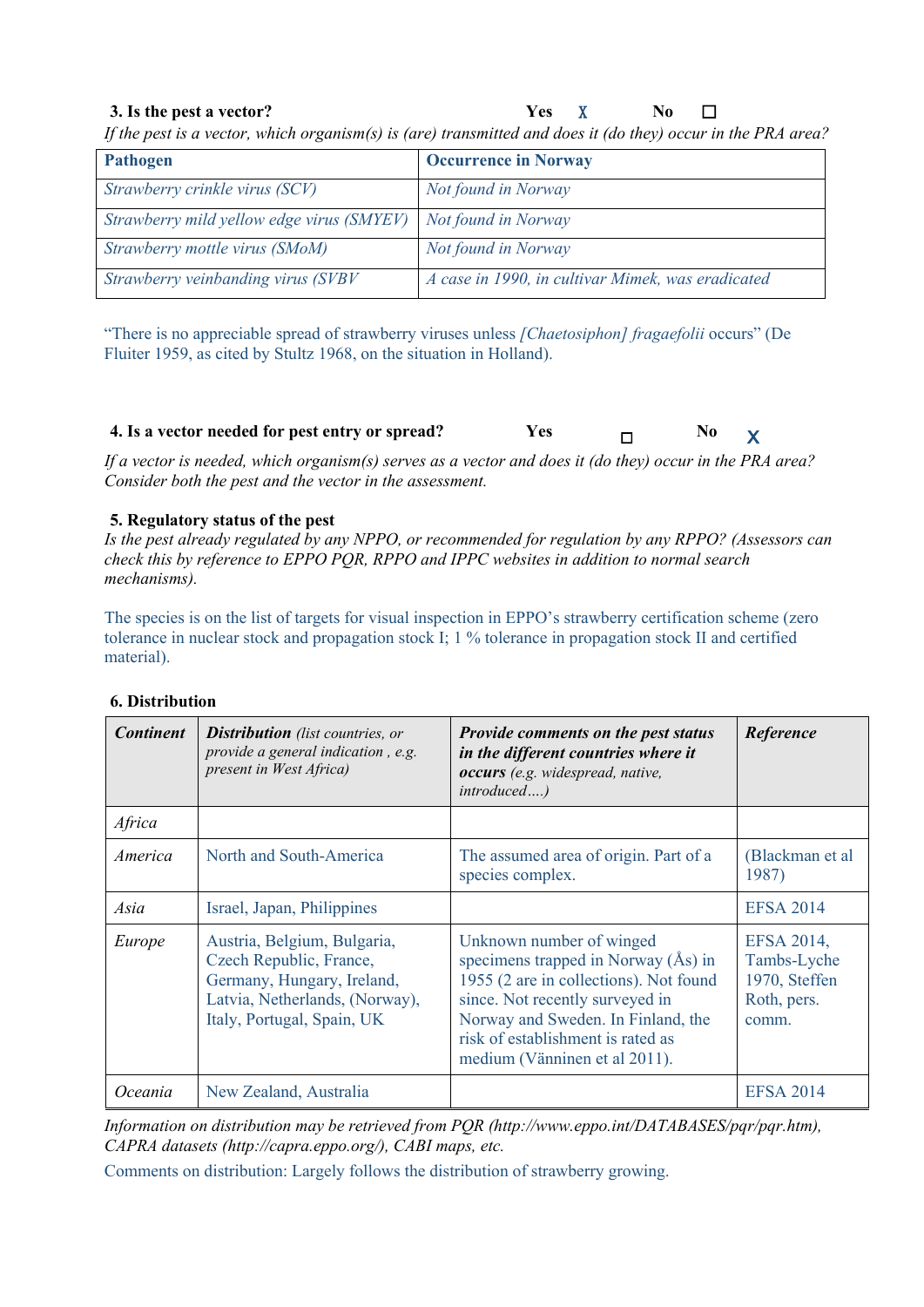### **3. Is the pest a vector? Yes** X **No** ☐

*If the pest is a vector, which organism(s) is (are) transmitted and does it (do they) occur in the PRA area?*

| <b>Pathogen</b>                                               | <b>Occurrence in Norway</b>                       |
|---------------------------------------------------------------|---------------------------------------------------|
| Strawberry crinkle virus (SCV)                                | Not found in Norway                               |
| Strawberry mild yellow edge virus (SMYEV) Not found in Norway |                                                   |
| Strawberry mottle virus (SMoM)                                | Not found in Norway                               |
| Strawberry veinbanding virus (SVBV                            | A case in 1990, in cultivar Mimek, was eradicated |

"There is no appreciable spread of strawberry viruses unless *[Chaetosiphon] fragaefolii* occurs" (De Fluiter 1959, as cited by Stultz 1968, on the situation in Holland).

**4.** Is a vector needed for pest entry or spread? Yes □ □ No X

*If a vector is needed, which organism(s) serves as a vector and does it (do they) occur in the PRA area? Consider both the pest and the vector in the assessment.*

#### **5. Regulatory status of the pest**

*Is the pest already regulated by any NPPO, or recommended for regulation by any RPPO? (Assessors can check this by reference to EPPO PQR, RPPO and IPPC websites in addition to normal search mechanisms).* 

The species is on the list of targets for visual inspection in EPPO's strawberry certification scheme (zero tolerance in nuclear stock and propagation stock I; 1 % tolerance in propagation stock II and certified material).

| <b>Continent</b> | <b>Distribution</b> (list countries, or<br>provide a general indication, e.g.<br>present in West Africa)                                             | <b>Provide comments on the pest status</b><br>in the different countries where it<br>occurs (e.g. widespread, native,<br>introduced)                                                                                                                       | Reference                                                          |
|------------------|------------------------------------------------------------------------------------------------------------------------------------------------------|------------------------------------------------------------------------------------------------------------------------------------------------------------------------------------------------------------------------------------------------------------|--------------------------------------------------------------------|
| Africa           |                                                                                                                                                      |                                                                                                                                                                                                                                                            |                                                                    |
| America          | North and South-America                                                                                                                              | The assumed area of origin. Part of a<br>species complex.                                                                                                                                                                                                  | (Blackman et al<br>1987)                                           |
| Asia             | Israel, Japan, Philippines                                                                                                                           |                                                                                                                                                                                                                                                            | <b>EFSA 2014</b>                                                   |
| Europe           | Austria, Belgium, Bulgaria,<br>Czech Republic, France,<br>Germany, Hungary, Ireland,<br>Latvia, Netherlands, (Norway),<br>Italy, Portugal, Spain, UK | Unknown number of winged<br>specimens trapped in Norway $(As)$ in<br>1955 (2 are in collections). Not found<br>since. Not recently surveyed in<br>Norway and Sweden. In Finland, the<br>risk of establishment is rated as<br>medium (Vänninen et al 2011). | EFSA 2014,<br>Tambs-Lyche<br>1970, Steffen<br>Roth, pers.<br>comm. |
| <i>Oceania</i>   | New Zealand, Australia                                                                                                                               |                                                                                                                                                                                                                                                            | <b>EFSA 2014</b>                                                   |

#### **6. Distribution**

*Information on distribution may be retrieved from PQR (http://www.eppo.int/DATABASES/pqr/pqr.htm), CAPRA datasets (http://capra.eppo.org/), CABI maps, etc.*

Comments on distribution: Largely follows the distribution of strawberry growing.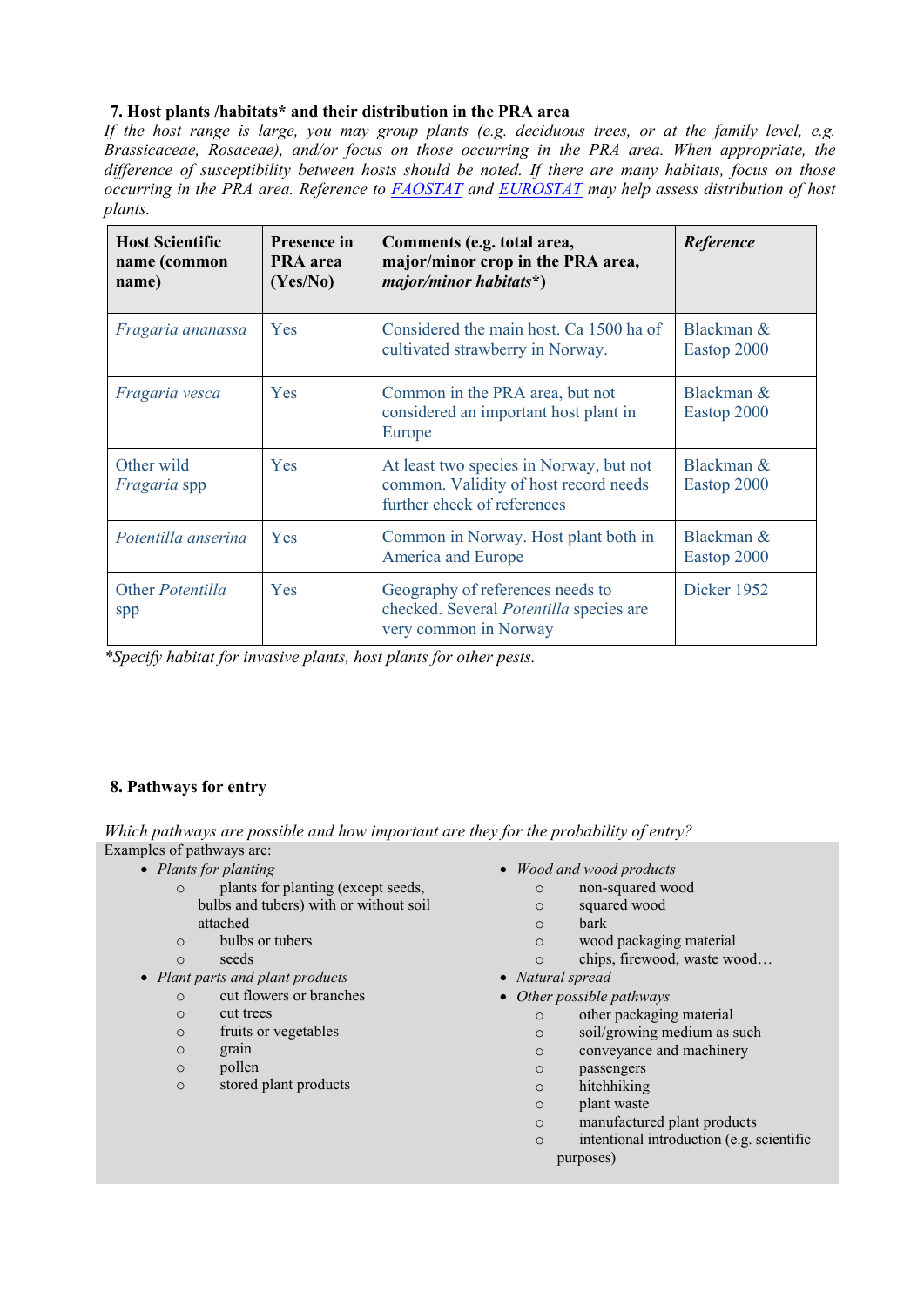### **7. Host plants /habitats\* and their distribution in the PRA area**

*If the host range is large, you may group plants (e.g. deciduous trees, or at the family level, e.g. Brassicaceae, Rosaceae), and/or focus on those occurring in the PRA area. When appropriate, the difference of susceptibility between hosts should be noted. If there are many habitats, focus on those occurring in the PRA area. Reference to FAOSTAT and EUROSTAT may help assess distribution of host plants.* 

| <b>Host Scientific</b><br>name (common<br>name) | <b>Presence in</b><br>PRA area<br>(Yes/No) | Comments (e.g. total area,<br>major/minor crop in the PRA area,<br>$major/minor~habitats*)$                     | Reference                    |
|-------------------------------------------------|--------------------------------------------|-----------------------------------------------------------------------------------------------------------------|------------------------------|
| Fragaria ananassa                               | Yes                                        | Considered the main host. Ca 1500 ha of<br>cultivated strawberry in Norway.                                     | Blackman $\&$<br>Eastop 2000 |
| Fragaria vesca                                  | Yes                                        | Common in the PRA area, but not<br>considered an important host plant in<br>Europe                              | Blackman &<br>Eastop 2000    |
| Other wild<br><i>Fragaria</i> spp               | Yes                                        | At least two species in Norway, but not<br>common. Validity of host record needs<br>further check of references | Blackman $\&$<br>Eastop 2000 |
| Potentilla anserina                             | Yes                                        | Common in Norway. Host plant both in<br>America and Europe                                                      | Blackman &<br>Eastop 2000    |
| Other <i>Potentilla</i><br>spp                  | Yes                                        | Geography of references needs to<br>checked. Several Potentilla species are<br>very common in Norway            | Dicker 1952                  |

*\*Specify habitat for invasive plants, host plants for other pests.*

### **8. Pathways for entry**

*Which pathways are possible and how important are they for the probability of entry?* Examples of pathways are:

- - o plants for planting (except seeds, bulbs and tubers) with or without soil attached
	- o bulbs or tubers
	- o seeds
- *Plant parts and plant products*
	- o cut flowers or branches
		- o cut trees
		- o fruits or vegetables
		- o grain
		- o pollen
		- o stored plant products
- Plants for planting  **Wood and wood products** 
	- o non-squared wood
	- o squared wood
	- o bark
	- o wood packaging material
	- o chips, firewood, waste wood…
	- *Natural spread*
	- *Other possible pathways*
		- o other packaging material
		- o soil/growing medium as such
		- o conveyance and machinery
		- o passengers
		- o hitchhiking
		- o plant waste
		- o manufactured plant products
		- o intentional introduction (e.g. scientific purposes)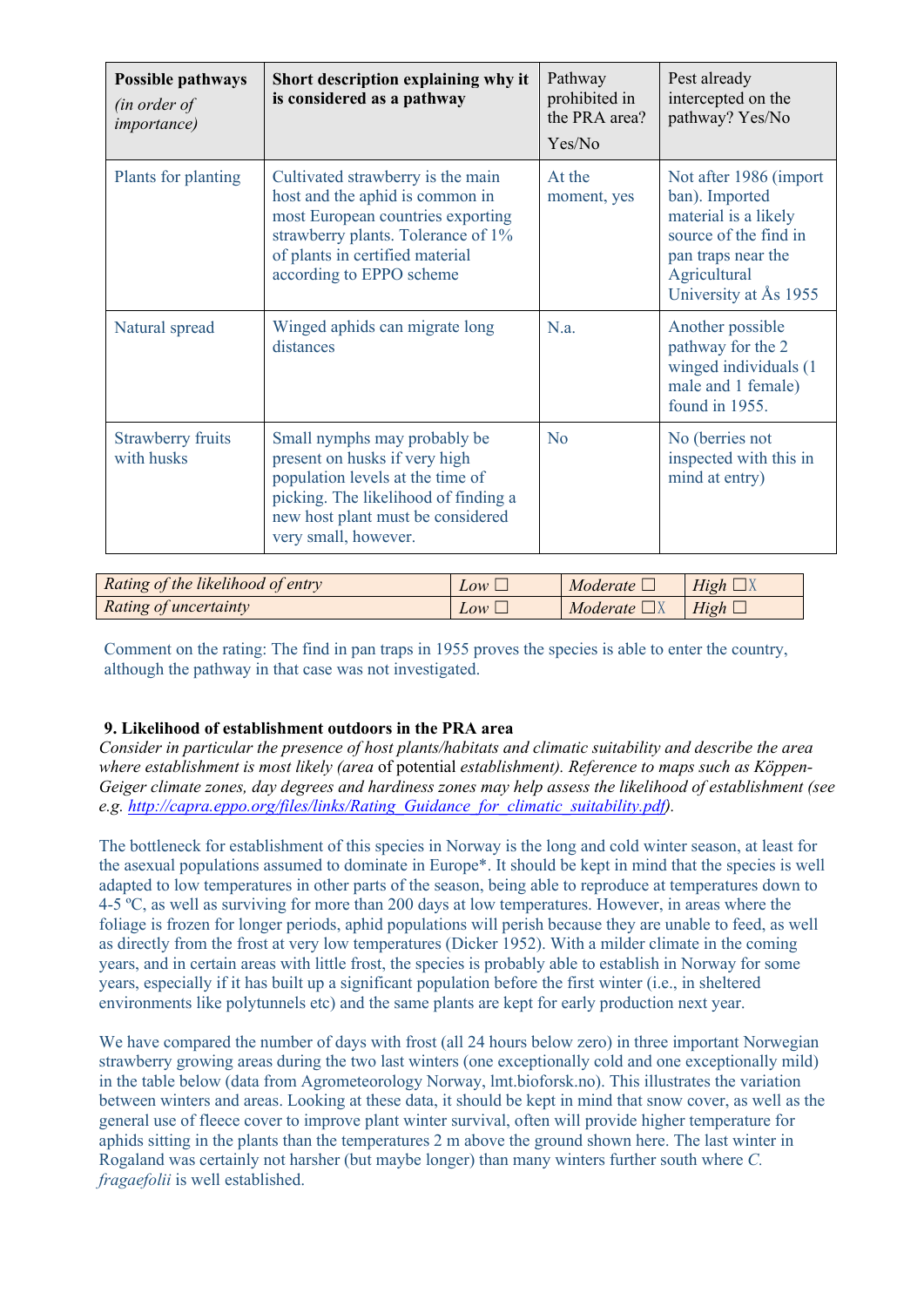| <b>Possible pathways</b><br>(in order of<br><i>importance</i> ) | Short description explaining why it<br>is considered as a pathway                                                                                                                                              | Pathway<br>prohibited in<br>the PRA area?<br>Yes/No | Pest already<br>intercepted on the<br>pathway? Yes/No                                                                                                     |
|-----------------------------------------------------------------|----------------------------------------------------------------------------------------------------------------------------------------------------------------------------------------------------------------|-----------------------------------------------------|-----------------------------------------------------------------------------------------------------------------------------------------------------------|
| Plants for planting                                             | Cultivated strawberry is the main<br>host and the aphid is common in<br>most European countries exporting<br>strawberry plants. Tolerance of 1%<br>of plants in certified material<br>according to EPPO scheme | At the<br>moment, yes                               | Not after 1986 (import)<br>ban). Imported<br>material is a likely<br>source of the find in<br>pan traps near the<br>Agricultural<br>University at Ås 1955 |
| Natural spread                                                  | Winged aphids can migrate long<br>distances                                                                                                                                                                    | N.a.                                                | Another possible<br>pathway for the 2<br>winged individuals (1)<br>male and 1 female)<br>found in 1955.                                                   |
| <b>Strawberry fruits</b><br>with husks                          | Small nymphs may probably be<br>present on husks if very high<br>population levels at the time of<br>picking. The likelihood of finding a<br>new host plant must be considered<br>very small, however.         | N <sub>0</sub>                                      | No (berries not<br>inspected with this in<br>mind at entry)                                                                                               |

| Rating of the likelihood of entry | $Low \perp$ | Moderate $\Box$   | $High \Box$ |
|-----------------------------------|-------------|-------------------|-------------|
| Rating of uncertainty             | $Low \Box$  | Moderate $\Box X$ | $High \Box$ |

Comment on the rating: The find in pan traps in 1955 proves the species is able to enter the country, although the pathway in that case was not investigated.

### **9. Likelihood of establishment outdoors in the PRA area**

*Consider in particular the presence of host plants/habitats and climatic suitability and describe the area where establishment is most likely (area* of potential *establishment). Reference to maps such as Köppen-Geiger climate zones, day degrees and hardiness zones may help assess the likelihood of establishment (see e.g. http://capra.eppo.org/files/links/Rating\_Guidance\_for\_climatic\_suitability.pdf).*

The bottleneck for establishment of this species in Norway is the long and cold winter season, at least for the asexual populations assumed to dominate in Europe\*. It should be kept in mind that the species is well adapted to low temperatures in other parts of the season, being able to reproduce at temperatures down to 4-5 ºC, as well as surviving for more than 200 days at low temperatures. However, in areas where the foliage is frozen for longer periods, aphid populations will perish because they are unable to feed, as well as directly from the frost at very low temperatures (Dicker 1952). With a milder climate in the coming years, and in certain areas with little frost, the species is probably able to establish in Norway for some years, especially if it has built up a significant population before the first winter (i.e., in sheltered environments like polytunnels etc) and the same plants are kept for early production next year.

We have compared the number of days with frost (all 24 hours below zero) in three important Norwegian strawberry growing areas during the two last winters (one exceptionally cold and one exceptionally mild) in the table below (data from Agrometeorology Norway, lmt.bioforsk.no). This illustrates the variation between winters and areas. Looking at these data, it should be kept in mind that snow cover, as well as the general use of fleece cover to improve plant winter survival, often will provide higher temperature for aphids sitting in the plants than the temperatures 2 m above the ground shown here. The last winter in Rogaland was certainly not harsher (but maybe longer) than many winters further south where *C. fragaefolii* is well established.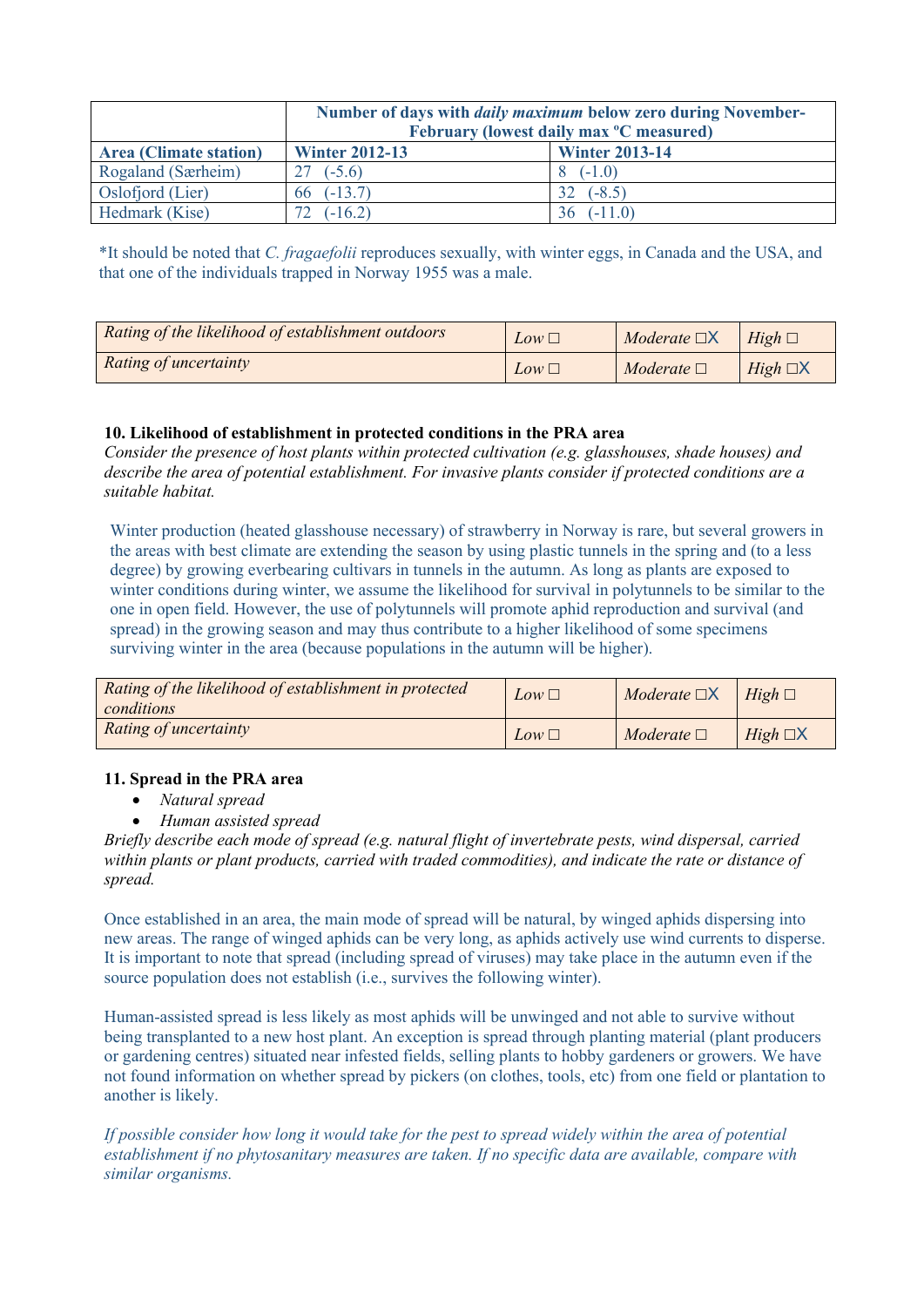|                               | Number of days with <i>daily maximum</i> below zero during November-<br>February (lowest daily max <sup>o</sup> C measured) |           |  |  |
|-------------------------------|-----------------------------------------------------------------------------------------------------------------------------|-----------|--|--|
| <b>Area (Climate station)</b> | <b>Winter 2012-13</b><br><b>Winter 2013-14</b>                                                                              |           |  |  |
| Rogaland (Særheim)            | $27( -5.6)$                                                                                                                 | $(-1.0)$  |  |  |
| Oslofjord (Lier)              | 66 $(-13.7)$                                                                                                                | $(-8.5)$  |  |  |
| Hedmark (Kise)                | $(-16.2)$                                                                                                                   | $(-11.0)$ |  |  |

\*It should be noted that *C. fragaefolii* reproduces sexually, with winter eggs, in Canada and the USA, and that one of the individuals trapped in Norway 1955 was a male.

| Rating of the likelihood of establishment outdoors | $Low \square$ | Moderate $\Box X$ | $High \square$   |
|----------------------------------------------------|---------------|-------------------|------------------|
| Rating of uncertainty                              | $Low \square$ | Moderate $\Box$   | $High \square X$ |

### **10. Likelihood of establishment in protected conditions in the PRA area**

*Consider the presence of host plants within protected cultivation (e.g. glasshouses, shade houses) and describe the area of potential establishment. For invasive plants consider if protected conditions are a suitable habitat.* 

Winter production (heated glasshouse necessary) of strawberry in Norway is rare, but several growers in the areas with best climate are extending the season by using plastic tunnels in the spring and (to a less degree) by growing everbearing cultivars in tunnels in the autumn. As long as plants are exposed to winter conditions during winter, we assume the likelihood for survival in polytunnels to be similar to the one in open field. However, the use of polytunnels will promote aphid reproduction and survival (and spread) in the growing season and may thus contribute to a higher likelihood of some specimens surviving winter in the area (because populations in the autumn will be higher).

| Rating of the likelihood of establishment in protected<br>conditions | $Low \square$ | Moderate $\Box X$ | $High \square$   |
|----------------------------------------------------------------------|---------------|-------------------|------------------|
| Rating of uncertainty                                                | $Low \square$ | Moderate $\Box$   | $High \square X$ |

#### **11. Spread in the PRA area**

- *Natural spread*
- *Human assisted spread*

*Briefly describe each mode of spread (e.g. natural flight of invertebrate pests, wind dispersal, carried within plants or plant products, carried with traded commodities), and indicate the rate or distance of spread.* 

Once established in an area, the main mode of spread will be natural, by winged aphids dispersing into new areas. The range of winged aphids can be very long, as aphids actively use wind currents to disperse. It is important to note that spread (including spread of viruses) may take place in the autumn even if the source population does not establish (i.e., survives the following winter).

Human-assisted spread is less likely as most aphids will be unwinged and not able to survive without being transplanted to a new host plant. An exception is spread through planting material (plant producers or gardening centres) situated near infested fields, selling plants to hobby gardeners or growers. We have not found information on whether spread by pickers (on clothes, tools, etc) from one field or plantation to another is likely.

*If possible consider how long it would take for the pest to spread widely within the area of potential establishment if no phytosanitary measures are taken. If no specific data are available, compare with similar organisms.*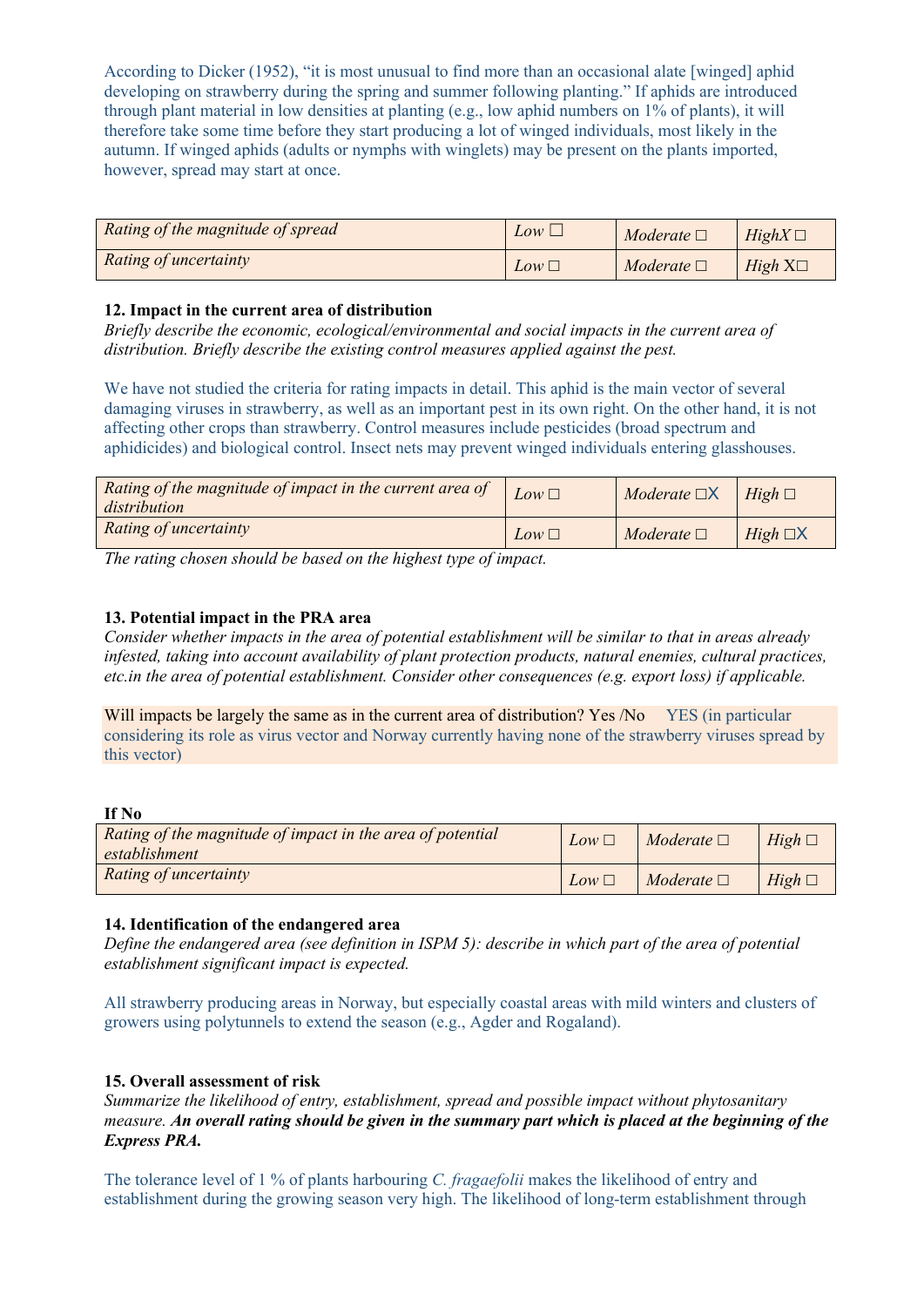According to Dicker (1952), "it is most unusual to find more than an occasional alate [winged] aphid developing on strawberry during the spring and summer following planting." If aphids are introduced through plant material in low densities at planting (e.g., low aphid numbers on 1% of plants), it will therefore take some time before they start producing a lot of winged individuals, most likely in the autumn. If winged aphids (adults or nymphs with winglets) may be present on the plants imported, however, spread may start at once.

| Rating of the magnitude of spread | $Low \sqcup$    | Moderate $\square$ | $HighX \square$ |
|-----------------------------------|-----------------|--------------------|-----------------|
| Rating of uncertainty             | $Low \sqsubset$ | Moderate $\Box$    | $High X\square$ |

### **12. Impact in the current area of distribution**

*Briefly describe the economic, ecological/environmental and social impacts in the current area of distribution. Briefly describe the existing control measures applied against the pest.* 

We have not studied the criteria for rating impacts in detail. This aphid is the main vector of several damaging viruses in strawberry, as well as an important pest in its own right. On the other hand, it is not affecting other crops than strawberry. Control measures include pesticides (broad spectrum and aphidicides) and biological control. Insect nets may prevent winged individuals entering glasshouses.

| Rating of the magnitude of impact in the current area of<br>distribution | Low $\square$ | $Modernate$ $\Box X$ | $High \square$   |
|--------------------------------------------------------------------------|---------------|----------------------|------------------|
| Rating of uncertainty                                                    | $Low \square$ | Moderate $\Box$      | $High \square X$ |

*The rating chosen should be based on the highest type of impact.* 

### **13. Potential impact in the PRA area**

*Consider whether impacts in the area of potential establishment will be similar to that in areas already infested, taking into account availability of plant protection products, natural enemies, cultural practices, etc.in the area of potential establishment. Consider other consequences (e.g. export loss) if applicable.* 

Will impacts be largely the same as in the current area of distribution? Yes /No YES (in particular considering its role as virus vector and Norway currently having none of the strawberry viruses spread by this vector)

**If No**

| Rating of the magnitude of impact in the area of potential<br>establishment | $Low \square$ | Moderate $\Box$ | $High \square$ |
|-----------------------------------------------------------------------------|---------------|-----------------|----------------|
| Rating of uncertainty                                                       | $Low \square$ | Moderate $\Box$ | $High \square$ |

#### **14. Identification of the endangered area**

*Define the endangered area (see definition in ISPM 5): describe in which part of the area of potential establishment significant impact is expected.*

All strawberry producing areas in Norway, but especially coastal areas with mild winters and clusters of growers using polytunnels to extend the season (e.g., Agder and Rogaland).

#### **15. Overall assessment of risk**

*Summarize the likelihood of entry, establishment, spread and possible impact without phytosanitary measure. An overall rating should be given in the summary part which is placed at the beginning of the Express PRA.*

The tolerance level of 1 % of plants harbouring *C. fragaefolii* makes the likelihood of entry and establishment during the growing season very high. The likelihood of long-term establishment through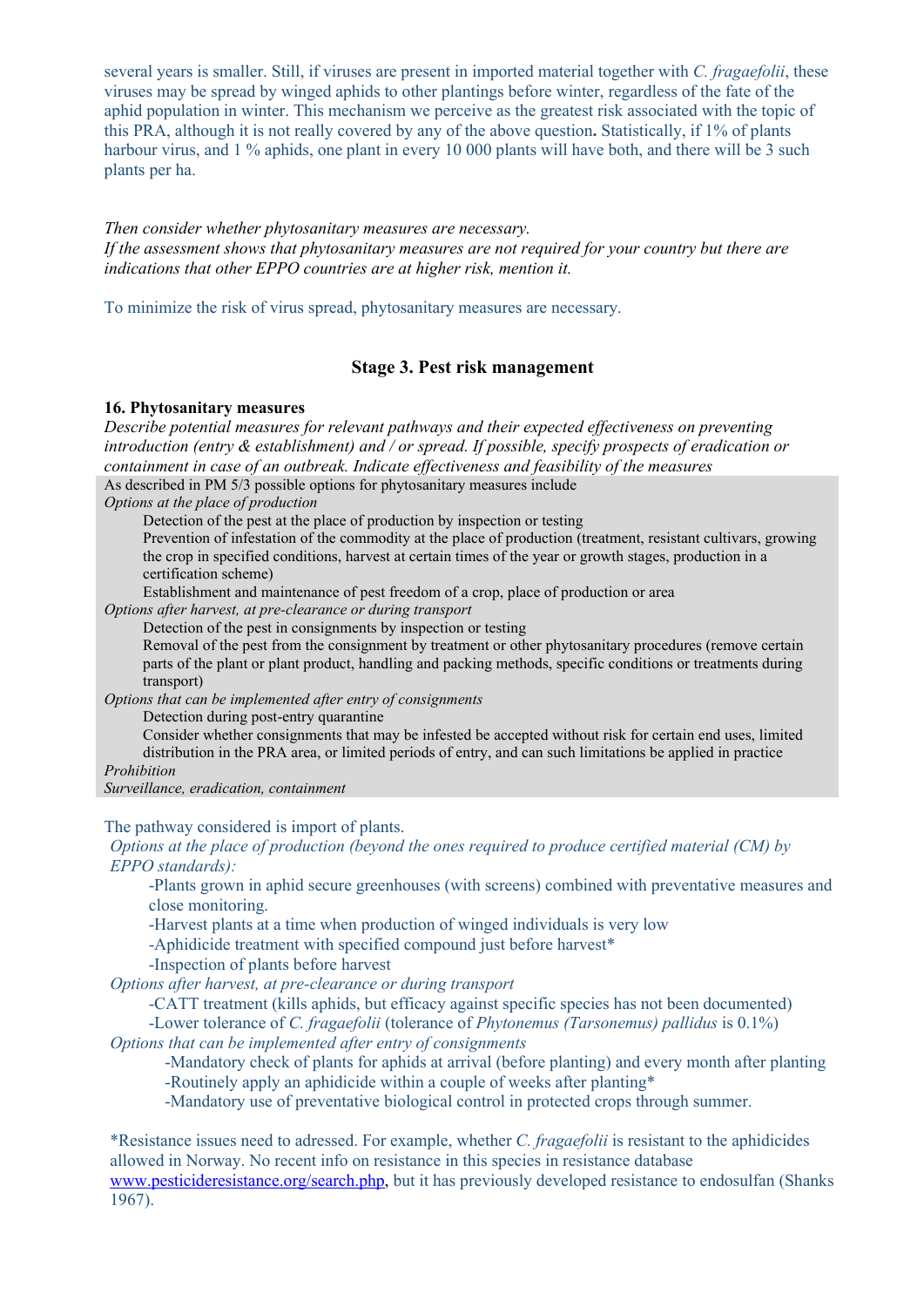several years is smaller. Still, if viruses are present in imported material together with *C. fragaefolii*, these viruses may be spread by winged aphids to other plantings before winter, regardless of the fate of the aphid population in winter. This mechanism we perceive as the greatest risk associated with the topic of this PRA, although it is not really covered by any of the above question**.** Statistically, if 1% of plants harbour virus, and 1 % aphids, one plant in every 10 000 plants will have both, and there will be 3 such plants per ha.

*Then consider whether phytosanitary measures are necessary. If the assessment shows that phytosanitary measures are not required for your country but there are indications that other EPPO countries are at higher risk, mention it.*

To minimize the risk of virus spread, phytosanitary measures are necessary.

### **Stage 3. Pest risk management**

#### **16. Phytosanitary measures**

*Describe potential measures for relevant pathways and their expected effectiveness on preventing introduction (entry & establishment) and / or spread. If possible, specify prospects of eradication or containment in case of an outbreak. Indicate effectiveness and feasibility of the measures* As described in PM 5/3 possible options for phytosanitary measures include

*Options at the place of production*

Detection of the pest at the place of production by inspection or testing

Prevention of infestation of the commodity at the place of production (treatment, resistant cultivars, growing the crop in specified conditions, harvest at certain times of the year or growth stages, production in a certification scheme)

Establishment and maintenance of pest freedom of a crop, place of production or area

*Options after harvest, at pre-clearance or during transport*

Detection of the pest in consignments by inspection or testing

Removal of the pest from the consignment by treatment or other phytosanitary procedures (remove certain parts of the plant or plant product, handling and packing methods, specific conditions or treatments during transport)

*Options that can be implemented after entry of consignments*

Detection during post-entry quarantine

Consider whether consignments that may be infested be accepted without risk for certain end uses, limited distribution in the PRA area, or limited periods of entry, and can such limitations be applied in practice

*Prohibition*

*Surveillance, eradication, containment*

The pathway considered is import of plants.

*Options at the place of production (beyond the ones required to produce certified material (CM) by EPPO standards):*

-Plants grown in aphid secure greenhouses (with screens) combined with preventative measures and close monitoring.

-Harvest plants at a time when production of winged individuals is very low

-Aphidicide treatment with specified compound just before harvest\*

-Inspection of plants before harvest

*Options after harvest, at pre-clearance or during transport*

-CATT treatment (kills aphids, but efficacy against specific species has not been documented)

-Lower tolerance of *C. fragaefolii* (tolerance of *Phytonemus (Tarsonemus) pallidus* is 0.1%)

*Options that can be implemented after entry of consignments*

-Mandatory check of plants for aphids at arrival (before planting) and every month after planting -Routinely apply an aphidicide within a couple of weeks after planting\*

-Mandatory use of preventative biological control in protected crops through summer.

\*Resistance issues need to adressed. For example, whether *C. fragaefolii* is resistant to the aphidicides allowed in Norway. No recent info on resistance in this species in resistance database www.pesticideresistance.org/search.php, but it has previously developed resistance to endosulfan (Shanks 1967).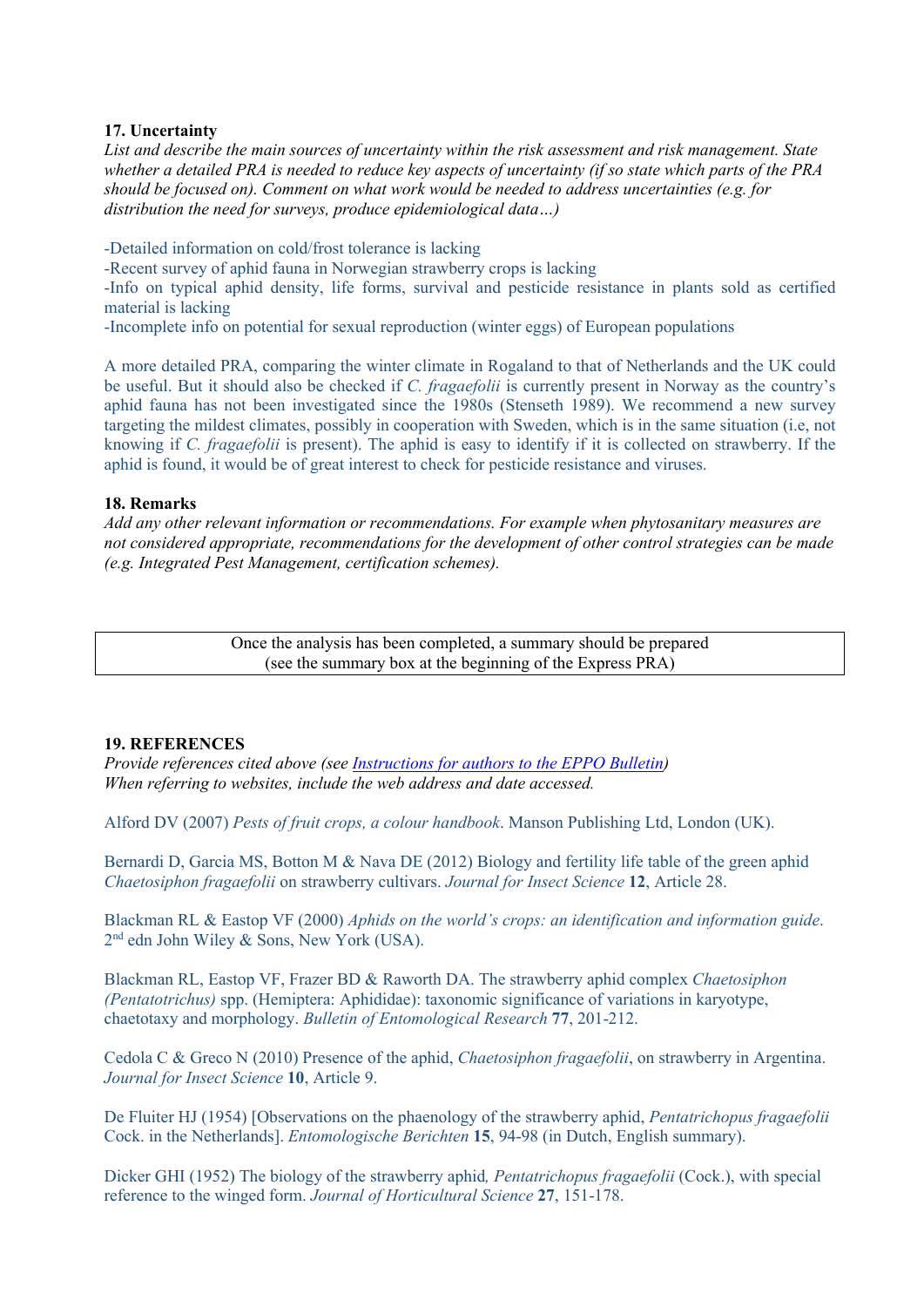#### **17. Uncertainty**

*List and describe the main sources of uncertainty within the risk assessment and risk management. State whether a detailed PRA is needed to reduce key aspects of uncertainty (if so state which parts of the PRA should be focused on). Comment on what work would be needed to address uncertainties (e.g. for distribution the need for surveys, produce epidemiological data…)*

-Detailed information on cold/frost tolerance is lacking -Recent survey of aphid fauna in Norwegian strawberry crops is lacking -Info on typical aphid density, life forms, survival and pesticide resistance in plants sold as certified material is lacking -Incomplete info on potential for sexual reproduction (winter eggs) of European populations

A more detailed PRA, comparing the winter climate in Rogaland to that of Netherlands and the UK could be useful. But it should also be checked if *C. fragaefolii* is currently present in Norway as the country's aphid fauna has not been investigated since the 1980s (Stenseth 1989). We recommend a new survey targeting the mildest climates, possibly in cooperation with Sweden, which is in the same situation (i.e, not knowing if *C. fragaefolii* is present). The aphid is easy to identify if it is collected on strawberry. If the aphid is found, it would be of great interest to check for pesticide resistance and viruses.

### **18. Remarks**

*Add any other relevant information or recommendations. For example when phytosanitary measures are not considered appropriate, recommendations for the development of other control strategies can be made (e.g. Integrated Pest Management, certification schemes).*

> Once the analysis has been completed, a summary should be prepared (see the summary box at the beginning of the Express PRA)

### **19. REFERENCES**

*Provide references cited above (see Instructions for authors to the EPPO Bulletin) When referring to websites, include the web address and date accessed.*

Alford DV (2007) *Pests of fruit crops, a colour handbook*. Manson Publishing Ltd, London (UK).

Bernardi D, Garcia MS, Botton M & Nava DE (2012) Biology and fertility life table of the green aphid *Chaetosiphon fragaefolii* on strawberry cultivars. *Journal for Insect Science* **12**, Article 28.

Blackman RL & Eastop VF (2000) *Aphids on the world's crops: an identification and information guide*. 2<sup>nd</sup> edn John Wiley & Sons, New York (USA).

Blackman RL, Eastop VF, Frazer BD & Raworth DA. The strawberry aphid complex *Chaetosiphon (Pentatotrichus)* spp. (Hemiptera: Aphididae): taxonomic significance of variations in karyotype, chaetotaxy and morphology. *Bulletin of Entomological Research* **77**, 201-212.

Cedola C & Greco N (2010) Presence of the aphid, *Chaetosiphon fragaefolii*, on strawberry in Argentina. *Journal for Insect Science* **10**, Article 9.

De Fluiter HJ (1954) [Observations on the phaenology of the strawberry aphid, *Pentatrichopus fragaefolii* Cock. in the Netherlands]. *Entomologische Berichten* **15**, 94-98 (in Dutch, English summary).

Dicker GHI (1952) The biology of the strawberry aphid*, Pentatrichopus fragaefolii* (Cock.), with special reference to the winged form. *Journal of Horticultural Science* **27**, 151-178.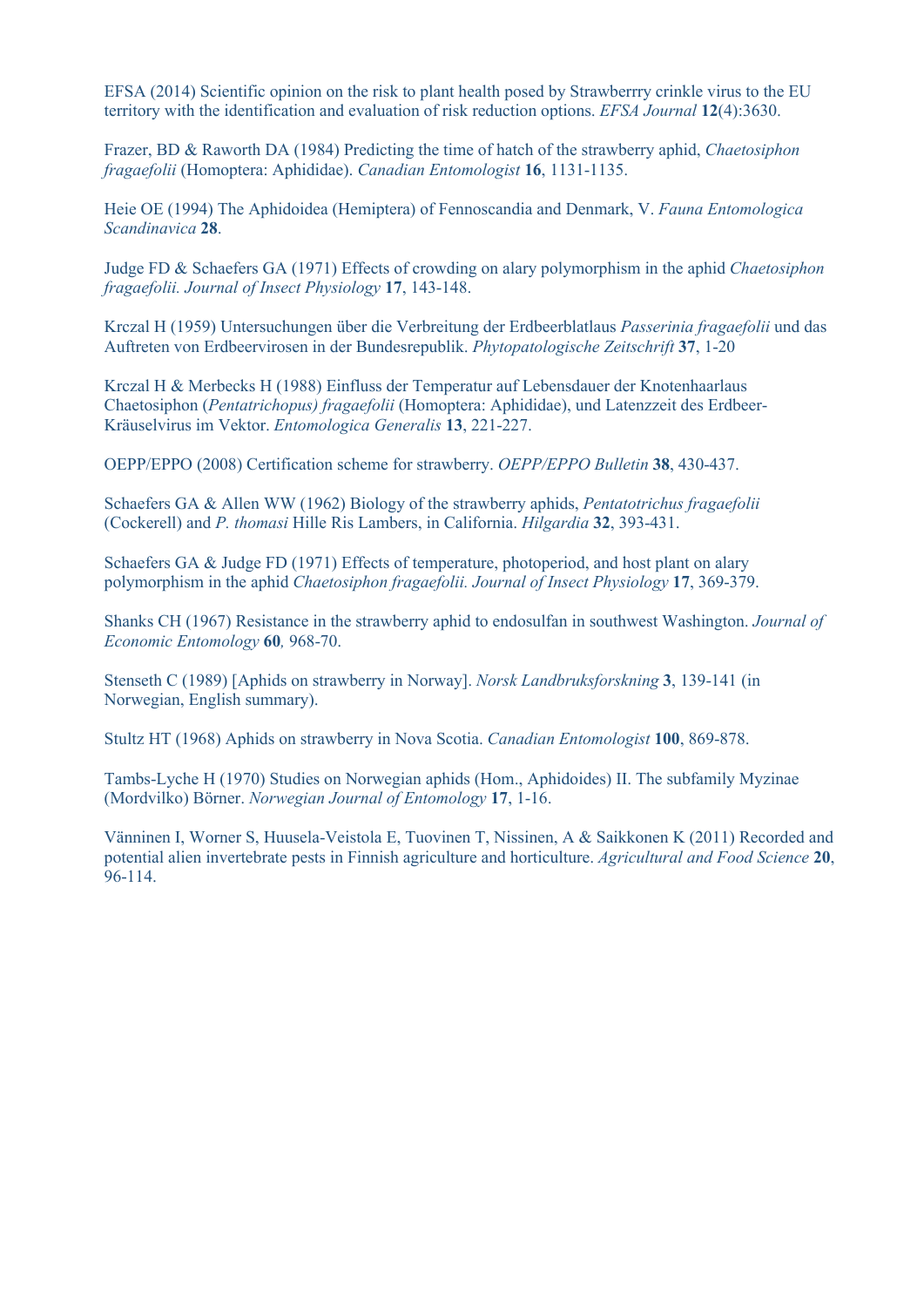EFSA (2014) Scientific opinion on the risk to plant health posed by Strawberrry crinkle virus to the EU territory with the identification and evaluation of risk reduction options. *EFSA Journal* **12**(4):3630.

Frazer, BD & Raworth DA (1984) Predicting the time of hatch of the strawberry aphid, *Chaetosiphon fragaefolii* (Homoptera: Aphididae). *Canadian Entomologist* **16**, 1131-1135.

Heie OE (1994) The Aphidoidea (Hemiptera) of Fennoscandia and Denmark, V. *Fauna Entomologica Scandinavica* **28**.

Judge FD & Schaefers GA (1971) Effects of crowding on alary polymorphism in the aphid *Chaetosiphon fragaefolii. Journal of Insect Physiology* **17**, 143-148.

Krczal H (1959) Untersuchungen über die Verbreitung der Erdbeerblatlaus *Passerinia fragaefolii* und das Auftreten von Erdbeervirosen in der Bundesrepublik. *Phytopatologische Zeitschrift* **37**, 1-20

Krczal H & Merbecks H (1988) Einfluss der Temperatur auf Lebensdauer der Knotenhaarlaus Chaetosiphon (*Pentatrichopus) fragaefolii* (Homoptera: Aphididae), und Latenzzeit des Erdbeer-Kräuselvirus im Vektor. *Entomologica Generalis* **13**, 221-227.

OEPP/EPPO (2008) Certification scheme for strawberry. *OEPP/EPPO Bulletin* **38**, 430-437.

Schaefers GA & Allen WW (1962) Biology of the strawberry aphids, *Pentatotrichus fragaefolii* (Cockerell) and *P. thomasi* Hille Ris Lambers, in California. *Hilgardia* **32**, 393-431.

Schaefers GA & Judge FD (1971) Effects of temperature, photoperiod, and host plant on alary polymorphism in the aphid *Chaetosiphon fragaefolii. Journal of Insect Physiology* **17**, 369-379.

Shanks CH (1967) Resistance in the strawberry aphid to endosulfan in southwest Washington. *Journal of Economic Entomology* **60***,* 968-70.

Stenseth C (1989) [Aphids on strawberry in Norway]. *Norsk Landbruksforskning* **3**, 139-141 (in Norwegian, English summary).

Stultz HT (1968) Aphids on strawberry in Nova Scotia. *Canadian Entomologist* **100**, 869-878.

Tambs-Lyche H (1970) Studies on Norwegian aphids (Hom., Aphidoides) II. The subfamily Myzinae (Mordvilko) Börner. *Norwegian Journal of Entomology* **17**, 1-16.

Vänninen I, Worner S, Huusela-Veistola E, Tuovinen T, Nissinen, A & Saikkonen K (2011) Recorded and potential alien invertebrate pests in Finnish agriculture and horticulture. *Agricultural and Food Science* **20**, 96-114.